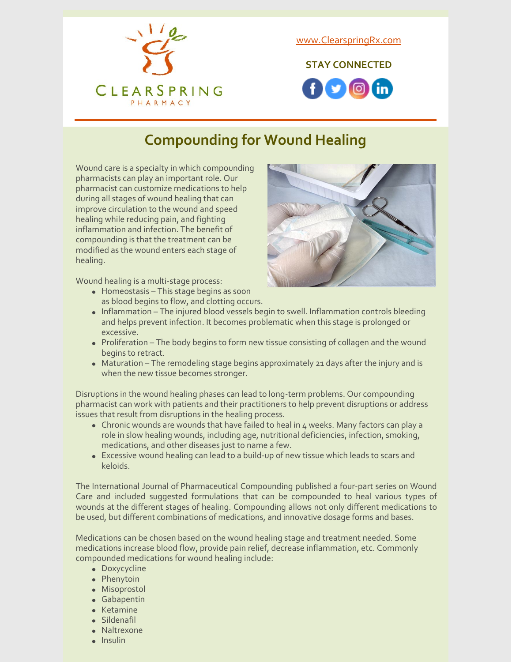

[www.ClearspringRx.com](https://www.clearspringrx.com)

**STAY CONNECTED**



# **Compounding for Wound Healing**

Wound care is a specialty in which compounding pharmacists can play an important role. Our pharmacist can customize medications to help during all stages of wound healing that can improve circulation to the wound and speed healing while reducing pain, and fighting inflammation and infection. The benefit of compounding is that the treatment can be modified as the wound enters each stage of healing.

Wound healing is a multi-stage process:

Homeostasis – This stage begins as soon as blood begins to flow, and clotting occurs.



- Inflammation The injured blood vessels begin to swell. Inflammation controls bleeding and helps prevent infection. It becomes problematic when this stage is prolonged or excessive.
- Proliferation The body begins to form new tissue consisting of collagen and the wound begins to retract.
- Maturation The remodeling stage begins approximately 21 days after the injury and is when the new tissue becomes stronger.

Disruptions in the wound healing phases can lead to long-term problems. Our compounding pharmacist can work with patients and their practitioners to help prevent disruptions or address issues that result from disruptions in the healing process.

- Chronic wounds are wounds that have failed to heal in 4 weeks. Many factors can play a role in slow healing wounds, including age, nutritional deficiencies, infection, smoking, medications, and other diseases just to name a few.
- Excessive wound healing can lead to a build-up of new tissue which leads to scars and keloids.

The International Journal of Pharmaceutical Compounding published a four-part series on Wound Care and included suggested formulations that can be compounded to heal various types of wounds at the different stages of healing. Compounding allows not only different medications to be used, but different combinations of medications, and innovative dosage forms and bases.

Medications can be chosen based on the wound healing stage and treatment needed. Some medications increase blood flow, provide pain relief, decrease inflammation, etc. Commonly compounded medications for wound healing include:

- Doxycycline
- Phenytoin
- Misoprostol
- Gabapentin
- $\bullet$  Ketamine
- Sildenafil
- Naltrexone
- $\bullet$  Insulin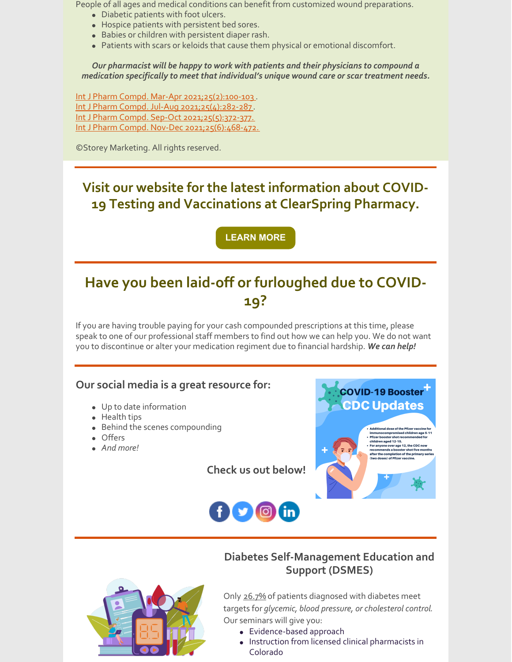People of all ages and medical conditions can benefit from customized wound preparations.

- Diabetic patients with foot ulcers.
- Hospice patients with persistent bed sores.
- Babies or children with persistent diaper rash.
- Patients with scars or keloids that cause them physical or emotional discomfort.

*Our pharmacist will be happy to work with patients and their physicians to compound a medication specifically to meet that individual's unique wound care or scar treatment needs.*

Int J Pharm Compd. Mar-Apr [2021;25\(2\):100-103](https://pubmed.ncbi.nlm.nih.gov/33798108/). Int J Pharm Compd. Jul-Aug [2021;25\(4\):282-287](https://pubmed.ncbi.nlm.nih.gov/34297689/) . Int J Pharm Compd. Sep-Oct [2021;25\(5\):372-377.](https://pubmed.ncbi.nlm.nih.gov/34623962/) Int J Pharm Compd. Nov-Dec [2021;25\(6\):468-472.](https://pubmed.ncbi.nlm.nih.gov/34807841/)

©Storey Marketing. All rights reserved.

## **Visit our website for the latest information about COVID-19 Testing and Vaccinations at ClearSpring Pharmacy.**

**[LEARN](https://clearspringrx.com/covid-19.php) MORE**

# **Have you been laid-off or furloughed due to COVID-19?**

If you are having trouble paying for your cash compounded prescriptions at this time, please speak to one of our professional staff members to find out how we can help you. We do not want you to discontinue or alter your medication regiment due to financial hardship. *We can help!*

### **Our social media is a great resource for:**

- Up to date information
- Health tips
- Behind the scenes compounding
- Offers
- *And more!*

**COVID-19 Booster CDC Updates** Additional dose of the Pfizer vaccine<br>immunocompromised children age 5<br>Pfizer booster shot recommended for<br>children aged 12-15.<br>For anyone over age 12, the CDC now<br>recommends a booster shot five mon<br>after the completion of after the completion of the prima<br>(two doses) of Pfizer vaccine.



**Check us out below!**

## **Diabetes Self-Management Education and Support (DSMES)**



Only 26.7% of patients diagnosed with diabetes meet targets for *glycemic, blood pressure, or cholesterol control*. Our seminars will give you:

- Evidence-based approach
- Instruction from licensed clinical pharmacists in Colorado